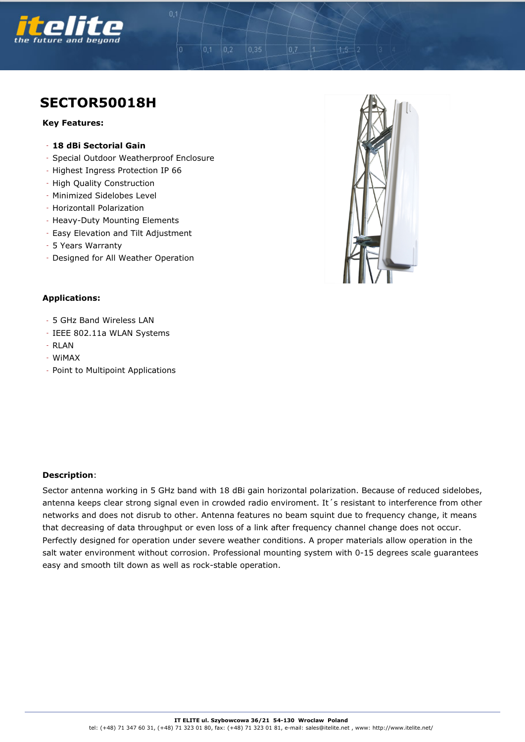

## **SECTOR50018H**

## **Key Features:**

- **18 dBi Sectorial Gain**
- Special Outdoor Weatherproof Enclosure

 $0,2$ 

 $0.1$ 

 $0.35$ 

- Highest Ingress Protection IP 66
- High Quality Construction
- Minimized Sidelobes Level
- Horizontall Polarization
- Heavy-Duty Mounting Elements
- Easy Elevation and Tilt Adjustment
- 5 Years Warranty
- Designed for All Weather Operation



## **Applications:**

- 5 GHz Band Wireless LAN
- IEEE 802.11a WLAN Systems
- RLAN
- WiMAX
- Point to Multipoint Applications

## **Description**:

Sector antenna working in 5 GHz band with 18 dBi gain horizontal polarization. Because of reduced sidelobes, antenna keeps clear strong signal even in crowded radio enviroment. It 's resistant to interference from other networks and does not disrub to other. Antenna features no beam squint due to frequency change, it means that decreasing of data throughput or even loss of a link after frequency channel change does not occur. Perfectly designed for operation under severe weather conditions. A proper materials allow operation in the salt water environment without corrosion. Professional mounting system with 0-15 degrees scale guarantees easy and smooth tilt down as well as rock-stable operation.